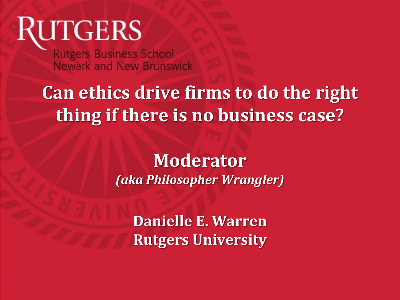# **RUTGERS**

**Rutgers Business School** Newark and New Brunswick

# **Can ethics drive firms to do the right thing if there is no business case?**

**Moderator** *(aka Philosopher Wrangler)*

**Danielle E. Warren Rutgers University**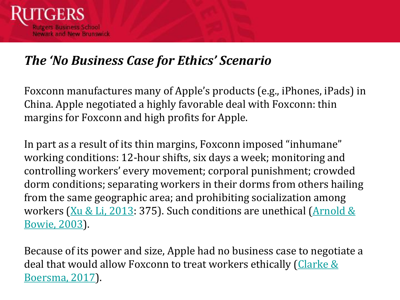

#### *The 'No Business Case for Ethics' Scenario*

Foxconn manufactures many of Apple's products (e.g., iPhones, iPads) in China. Apple negotiated a highly favorable deal with Foxconn: thin margins for Foxconn and high profits for Apple.

In part as a result of its thin margins, Foxconn imposed "inhumane" working conditions: 12-hour shifts, six days a week; monitoring and controlling workers' every movement; corporal punishment; crowded dorm conditions; separating workers in their dorms from others hailing from the same geographic area; and prohibiting socialization among workers ( $Xu & Li$ , 2013: 375). Such conditions are unethical (Arnold  $&$ Bowie, 2003).

Because of its power and size, Apple had no business case to negotiate a [deal that would allow Foxconn to treat workers ethically \(Clarke &](https://www.jstor.org/stable/pdf/44253102.pdf?casa_token=AW4ReWfBtukAAAAA:v6PAfPfT4U5mhobegTFHFmQNd9urB0DS6uVlDzIGftzbw7LRj5swUN_5Pr02jF-NREjbNT7QgOE_jI4a_x70It3F2jkqodM2y_0obr4VQb2g6lxcPEOs) Boersma, 2017).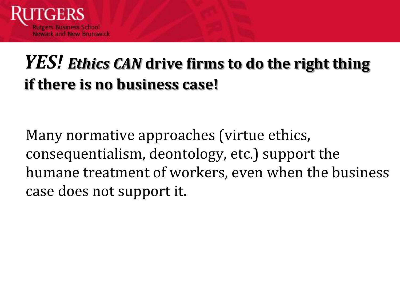

### *YES! Ethics CAN* **drive firms to do the right thing if there is no business case!**

Many normative approaches (virtue ethics, consequentialism, deontology, etc.) support the humane treatment of workers, even when the business case does not support it.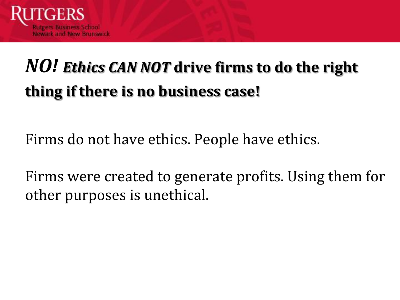

# *NO! Ethics CAN NOT* **drive firms to do the right thing if there is no business case!**

Firms do not have ethics. People have ethics.

Firms were created to generate profits. Using them for other purposes is unethical.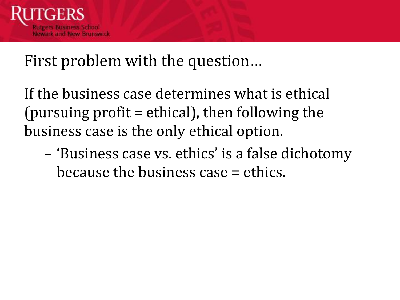

#### First problem with the question…

If the business case determines what is ethical (pursuing profit = ethical), then following the business case is the only ethical option.

– 'Business case vs. ethics' is a false dichotomy because the business case = ethics.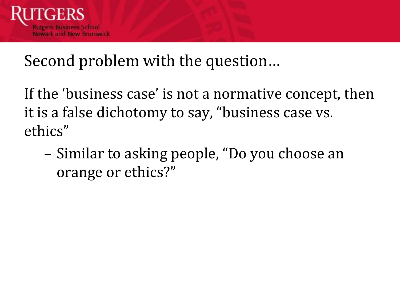

#### Second problem with the question…

If the 'business case' is not a normative concept, then it is a false dichotomy to say, "business case vs. ethics"

– Similar to asking people, "Do you choose an orange or ethics?"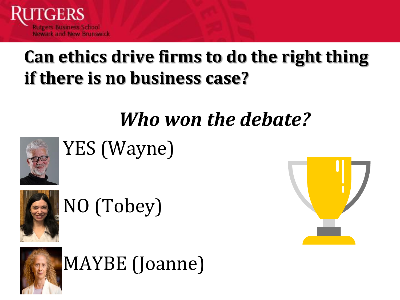

# **Can ethics drive firms to do the right thing if there is no business case?**

# *Who won the debate?*



YES (Wayne)



NO (Tobey)





MAYBE (Joanne)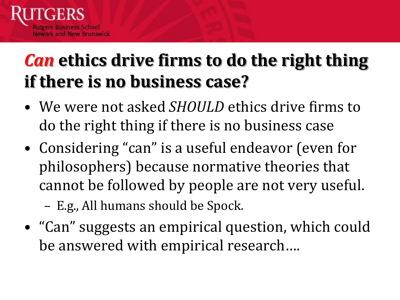

# *Can* **ethics drive firms to do the right thing if there is no business case?**

- We were not asked *SHOULD* ethics drive firms to do the right thing if there is no business case
- Considering "can" is a useful endeavor (even for philosophers) because normative theories that cannot be followed by people are not very useful.
	- E.g., All humans should be Spock.
- "Can" suggests an empirical question, which could be answered with empirical research….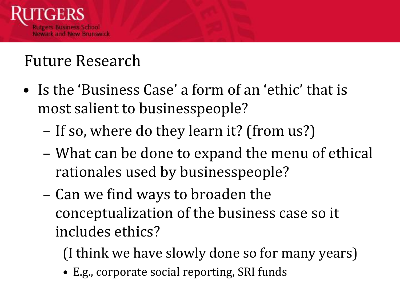

### Future Research

- Is the 'Business Case' a form of an 'ethic' that is most salient to businesspeople?
	- If so, where do they learn it? (from us?)
	- What can be done to expand the menu of ethical rationales used by businesspeople?
	- Can we find ways to broaden the conceptualization of the business case so it includes ethics?

(I think we have slowly done so for many years)

• E.g., corporate social reporting, SRI funds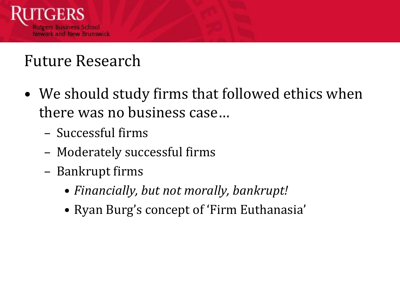

### Future Research

- We should study firms that followed ethics when there was no business case…
	- Successful firms
	- Moderately successful firms
	- Bankrupt firms
		- *Financially, but not morally, bankrupt!*
		- Ryan Burg's concept of 'Firm Euthanasia'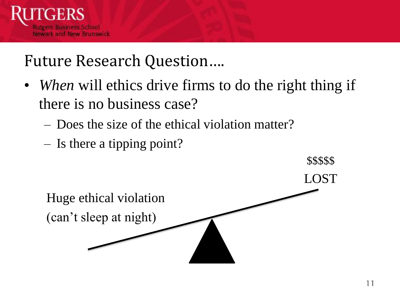

#### Future Research Question….

- *When* will ethics drive firms to do the right thing if there is no business case?
	- Does the size of the ethical violation matter?
	- Is there a tipping point?